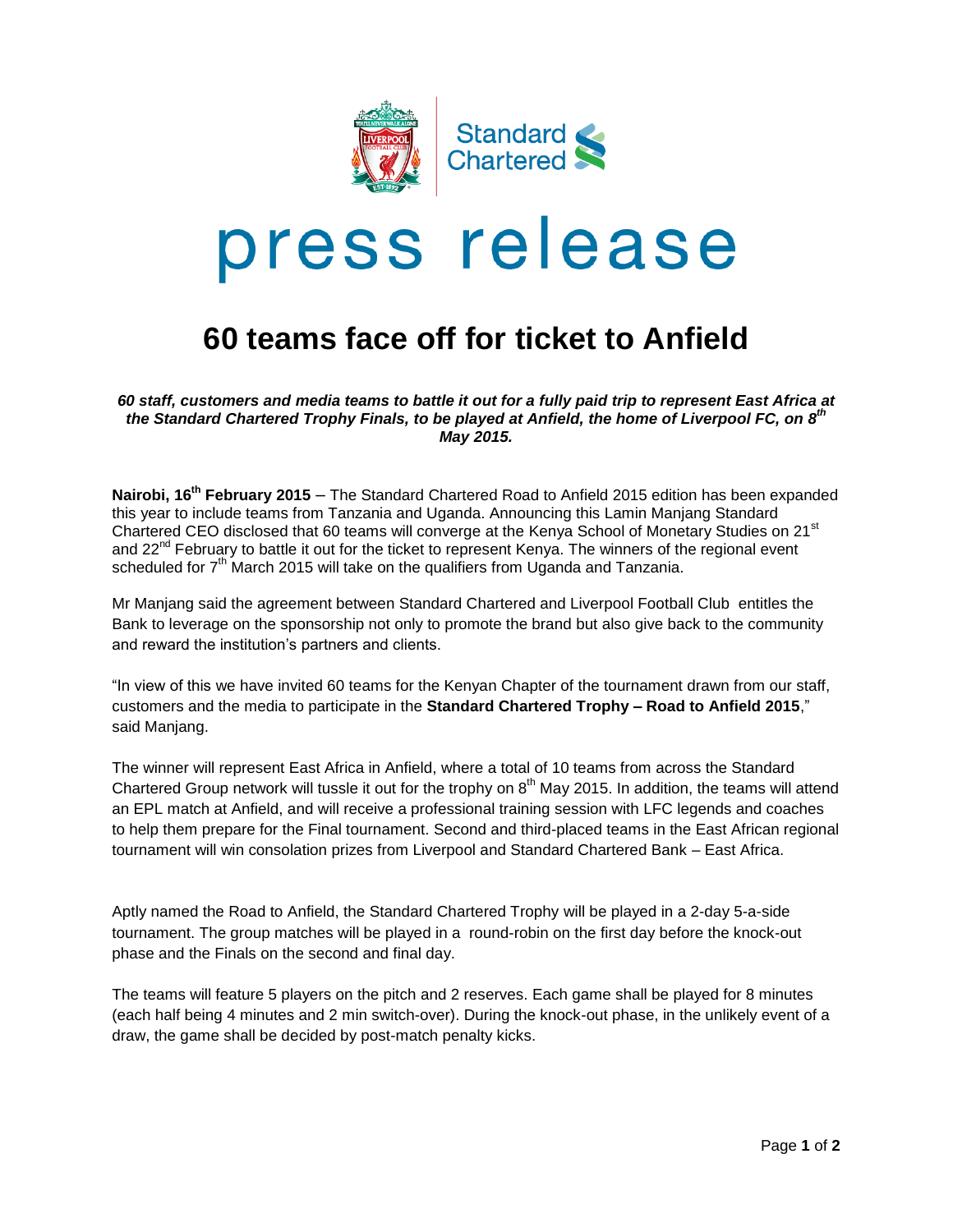

# press release

## **60 teams face off for ticket to Anfield**

*60 staff, customers and media teams to battle it out for a fully paid trip to represent East Africa at the Standard Chartered Trophy Finals, to be played at Anfield, the home of Liverpool FC, on 8 th May 2015.*

**Nairobi, 16<sup>th</sup> February 2015** – The Standard Chartered Road to Anfield 2015 edition has been expanded this year to include teams from Tanzania and Uganda. Announcing this Lamin Manjang Standard Chartered CEO disclosed that 60 teams will converge at the Kenya School of Monetary Studies on 21<sup>st</sup> and 22<sup>nd</sup> February to battle it out for the ticket to represent Kenya. The winners of the regional event scheduled for  $7<sup>th</sup>$  March 2015 will take on the qualifiers from Uganda and Tanzania.

Mr Manjang said the agreement between Standard Chartered and Liverpool Football Club entitles the Bank to leverage on the sponsorship not only to promote the brand but also give back to the community and reward the institution's partners and clients.

"In view of this we have invited 60 teams for the Kenyan Chapter of the tournament drawn from our staff, customers and the media to participate in the **Standard Chartered Trophy – Road to Anfield 2015**," said Manjang.

The winner will represent East Africa in Anfield, where a total of 10 teams from across the Standard Chartered Group network will tussle it out for the trophy on 8<sup>th</sup> May 2015. In addition, the teams will attend an EPL match at Anfield, and will receive a professional training session with LFC legends and coaches to help them prepare for the Final tournament. Second and third-placed teams in the East African regional tournament will win consolation prizes from Liverpool and Standard Chartered Bank – East Africa.

Aptly named the Road to Anfield, the Standard Chartered Trophy will be played in a 2-day 5-a-side tournament. The group matches will be played in a round-robin on the first day before the knock-out phase and the Finals on the second and final day.

The teams will feature 5 players on the pitch and 2 reserves. Each game shall be played for 8 minutes (each half being 4 minutes and 2 min switch-over). During the knock-out phase, in the unlikely event of a draw, the game shall be decided by post-match penalty kicks.